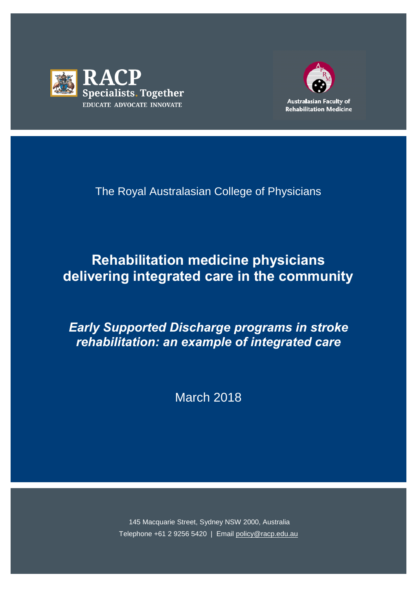



The Royal Australasian College of Physicians

# **Rehabilitation medicine physicians delivering integrated care in the community**

*Early Supported Discharge programs in stroke rehabilitation: an example of integrated care* 

March 2018

145 Macquarie Street, Sydney NSW 2000, Australia Telephone +61 2 9256 5420 | Email [policy@racp.edu.au](mailto:policy@racp.edu.au)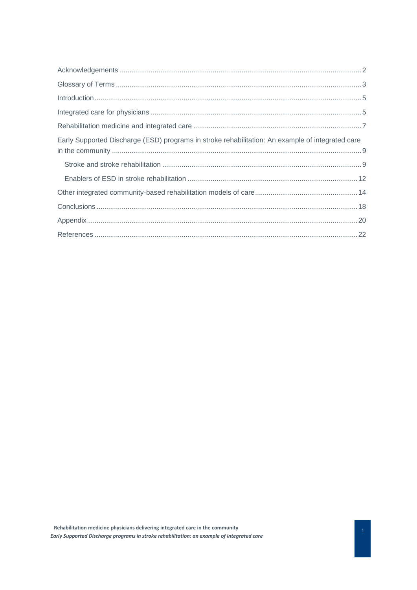| Early Supported Discharge (ESD) programs in stroke rehabilitation: An example of integrated care |
|--------------------------------------------------------------------------------------------------|
|                                                                                                  |
|                                                                                                  |
|                                                                                                  |
|                                                                                                  |
|                                                                                                  |
|                                                                                                  |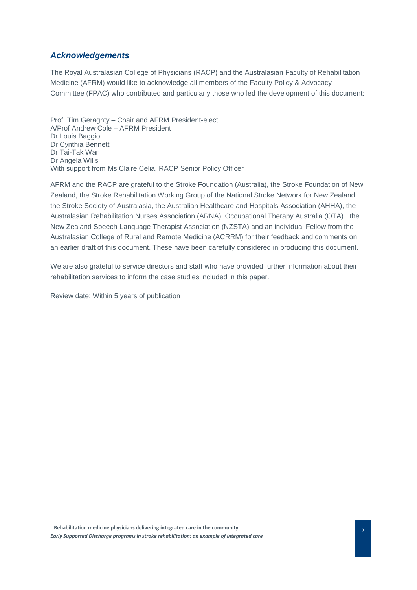# <span id="page-2-0"></span>*Acknowledgements*

The Royal Australasian College of Physicians (RACP) and the Australasian Faculty of Rehabilitation Medicine (AFRM) would like to acknowledge all members of the Faculty Policy & Advocacy Committee (FPAC) who contributed and particularly those who led the development of this document:

Prof. Tim Geraghty – Chair and AFRM President-elect A/Prof Andrew Cole – AFRM President Dr Louis Baggio Dr Cynthia Bennett Dr Tai-Tak Wan Dr Angela Wills With support from Ms Claire Celia, RACP Senior Policy Officer

AFRM and the RACP are grateful to the Stroke Foundation (Australia), the Stroke Foundation of New Zealand, the Stroke Rehabilitation Working Group of the National Stroke Network for New Zealand, the Stroke Society of Australasia, the Australian Healthcare and Hospitals Association (AHHA), the Australasian Rehabilitation Nurses Association (ARNA), Occupational Therapy Australia (OTA), the New Zealand Speech-Language Therapist Association (NZSTA) and an individual Fellow from the Australasian College of Rural and Remote Medicine (ACRRM) for their feedback and comments on an earlier draft of this document. These have been carefully considered in producing this document.

We are also grateful to service directors and staff who have provided further information about their rehabilitation services to inform the case studies included in this paper.

Review date: Within 5 years of publication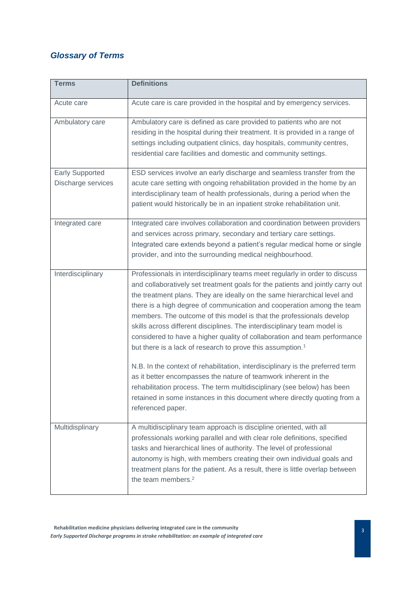# <span id="page-3-0"></span>*Glossary of Terms*

| <b>Terms</b>                                 | <b>Definitions</b>                                                                                                                                                                                                                                                                                                                                                                                                                                                                                                                                                                                                             |
|----------------------------------------------|--------------------------------------------------------------------------------------------------------------------------------------------------------------------------------------------------------------------------------------------------------------------------------------------------------------------------------------------------------------------------------------------------------------------------------------------------------------------------------------------------------------------------------------------------------------------------------------------------------------------------------|
| Acute care                                   | Acute care is care provided in the hospital and by emergency services.                                                                                                                                                                                                                                                                                                                                                                                                                                                                                                                                                         |
| Ambulatory care                              | Ambulatory care is defined as care provided to patients who are not<br>residing in the hospital during their treatment. It is provided in a range of<br>settings including outpatient clinics, day hospitals, community centres,<br>residential care facilities and domestic and community settings.                                                                                                                                                                                                                                                                                                                           |
| <b>Early Supported</b><br>Discharge services | ESD services involve an early discharge and seamless transfer from the<br>acute care setting with ongoing rehabilitation provided in the home by an<br>interdisciplinary team of health professionals, during a period when the<br>patient would historically be in an inpatient stroke rehabilitation unit.                                                                                                                                                                                                                                                                                                                   |
| Integrated care                              | Integrated care involves collaboration and coordination between providers<br>and services across primary, secondary and tertiary care settings.<br>Integrated care extends beyond a patient's regular medical home or single<br>provider, and into the surrounding medical neighbourhood.                                                                                                                                                                                                                                                                                                                                      |
| Interdisciplinary                            | Professionals in interdisciplinary teams meet regularly in order to discuss<br>and collaboratively set treatment goals for the patients and jointly carry out<br>the treatment plans. They are ideally on the same hierarchical level and<br>there is a high degree of communication and cooperation among the team<br>members. The outcome of this model is that the professionals develop<br>skills across different disciplines. The interdisciplinary team model is<br>considered to have a higher quality of collaboration and team performance<br>but there is a lack of research to prove this assumption. <sup>1</sup> |
|                                              | N.B. In the context of rehabilitation, interdisciplinary is the preferred term<br>as it better encompasses the nature of teamwork inherent in the<br>rehabilitation process. The term multidisciplinary (see below) has been<br>retained in some instances in this document where directly quoting from a<br>referenced paper.                                                                                                                                                                                                                                                                                                 |
| Multidisplinary                              | A multidisciplinary team approach is discipline oriented, with all<br>professionals working parallel and with clear role definitions, specified<br>tasks and hierarchical lines of authority. The level of professional<br>autonomy is high, with members creating their own individual goals and<br>treatment plans for the patient. As a result, there is little overlap between<br>the team members. <sup>2</sup>                                                                                                                                                                                                           |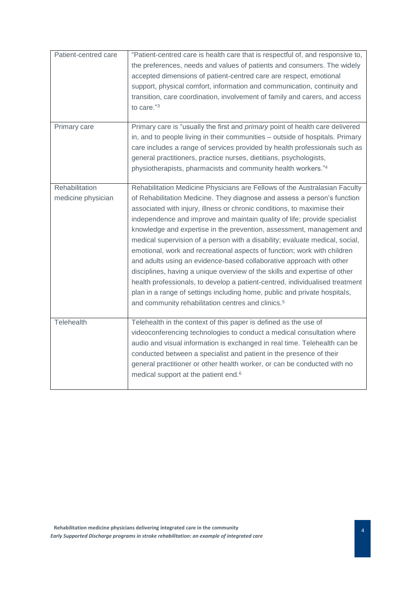| Patient-centred care                 | "Patient-centred care is health care that is respectful of, and responsive to,<br>the preferences, needs and values of patients and consumers. The widely<br>accepted dimensions of patient-centred care are respect, emotional<br>support, physical comfort, information and communication, continuity and<br>transition, care coordination, involvement of family and carers, and access<br>to care."3                                                                                                                                                                                                                                                                                                                                                                                                                                                                                                                                  |
|--------------------------------------|-------------------------------------------------------------------------------------------------------------------------------------------------------------------------------------------------------------------------------------------------------------------------------------------------------------------------------------------------------------------------------------------------------------------------------------------------------------------------------------------------------------------------------------------------------------------------------------------------------------------------------------------------------------------------------------------------------------------------------------------------------------------------------------------------------------------------------------------------------------------------------------------------------------------------------------------|
| Primary care                         | Primary care is "usually the first and <i>primary</i> point of health care delivered<br>in, and to people living in their communities - outside of hospitals. Primary<br>care includes a range of services provided by health professionals such as<br>general practitioners, practice nurses, dietitians, psychologists,<br>physiotherapists, pharmacists and community health workers."4                                                                                                                                                                                                                                                                                                                                                                                                                                                                                                                                                |
| Rehabilitation<br>medicine physician | Rehabilitation Medicine Physicians are Fellows of the Australasian Faculty<br>of Rehabilitation Medicine. They diagnose and assess a person's function<br>associated with injury, illness or chronic conditions, to maximise their<br>independence and improve and maintain quality of life; provide specialist<br>knowledge and expertise in the prevention, assessment, management and<br>medical supervision of a person with a disability; evaluate medical, social,<br>emotional, work and recreational aspects of function; work with children<br>and adults using an evidence-based collaborative approach with other<br>disciplines, having a unique overview of the skills and expertise of other<br>health professionals, to develop a patient-centred, individualised treatment<br>plan in a range of settings including home, public and private hospitals,<br>and community rehabilitation centres and clinics. <sup>5</sup> |
| Telehealth                           | Telehealth in the context of this paper is defined as the use of<br>videoconferencing technologies to conduct a medical consultation where<br>audio and visual information is exchanged in real time. Telehealth can be<br>conducted between a specialist and patient in the presence of their<br>general practitioner or other health worker, or can be conducted with no<br>medical support at the patient end. <sup>6</sup>                                                                                                                                                                                                                                                                                                                                                                                                                                                                                                            |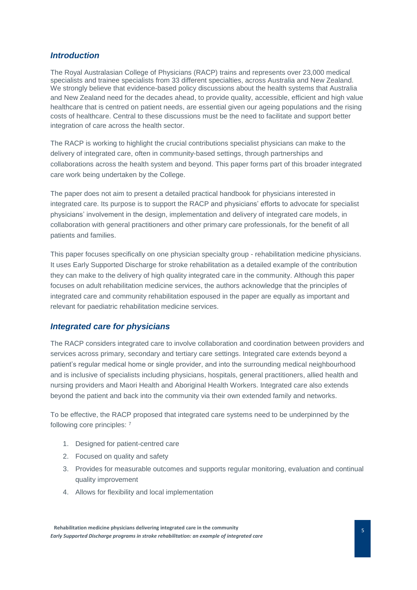# <span id="page-5-0"></span>*Introduction*

The Royal Australasian College of Physicians (RACP) trains and represents over 23,000 medical specialists and trainee specialists from 33 different specialties, across Australia and New Zealand. We strongly believe that evidence-based policy discussions about the health systems that Australia and New Zealand need for the decades ahead, to provide quality, accessible, efficient and high value healthcare that is centred on patient needs, are essential given our ageing populations and the rising costs of healthcare. Central to these discussions must be the need to facilitate and support better integration of care across the health sector.

The RACP is working to highlight the crucial contributions specialist physicians can make to the delivery of integrated care, often in community-based settings, through partnerships and collaborations across the health system and beyond. This paper forms part of this broader integrated care work being undertaken by the College.

The paper does not aim to present a detailed practical handbook for physicians interested in integrated care. Its purpose is to support the RACP and physicians' efforts to advocate for specialist physicians' involvement in the design, implementation and delivery of integrated care models, in collaboration with general practitioners and other primary care professionals, for the benefit of all patients and families.

This paper focuses specifically on one physician specialty group - rehabilitation medicine physicians. It uses Early Supported Discharge for stroke rehabilitation as a detailed example of the contribution they can make to the delivery of high quality integrated care in the community. Although this paper focuses on adult rehabilitation medicine services, the authors acknowledge that the principles of integrated care and community rehabilitation espoused in the paper are equally as important and relevant for paediatric rehabilitation medicine services.

# <span id="page-5-1"></span>*Integrated care for physicians*

The RACP considers integrated care to involve collaboration and coordination between providers and services across primary, secondary and tertiary care settings. Integrated care extends beyond a patient's regular medical home or single provider, and into the surrounding medical neighbourhood and is inclusive of specialists including physicians, hospitals, general practitioners, allied health and nursing providers and Maori Health and Aboriginal Health Workers. Integrated care also extends beyond the patient and back into the community via their own extended family and networks.

To be effective, the RACP proposed that integrated care systems need to be underpinned by the following core principles: <sup>7</sup>

- 1. Designed for patient-centred care
- 2. Focused on quality and safety
- 3. Provides for measurable outcomes and supports regular monitoring, evaluation and continual quality improvement
- 4. Allows for flexibility and local implementation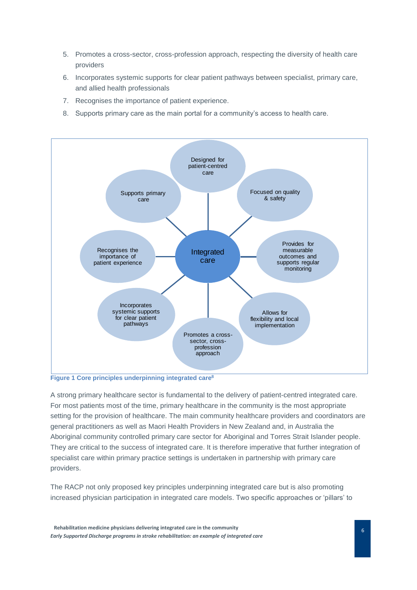- 5. Promotes a cross-sector, cross-profession approach, respecting the diversity of health care providers
- 6. Incorporates systemic supports for clear patient pathways between specialist, primary care, and allied health professionals
- 7. Recognises the importance of patient experience.
- 8. Supports primary care as the main portal for a community's access to health care.



**Figure 1 Core principles underpinning integrated care<sup>8</sup>**

A strong primary healthcare sector is fundamental to the delivery of patient-centred integrated care. For most patients most of the time, primary healthcare in the community is the most appropriate setting for the provision of healthcare. The main community healthcare providers and coordinators are general practitioners as well as Maori Health Providers in New Zealand and, in Australia the Aboriginal community controlled primary care sector for Aboriginal and Torres Strait Islander people. They are critical to the success of integrated care. It is therefore imperative that further integration of specialist care within primary practice settings is undertaken in partnership with primary care providers.

The RACP not only proposed key principles underpinning integrated care but is also promoting increased physician participation in integrated care models. Two specific approaches or 'pillars' to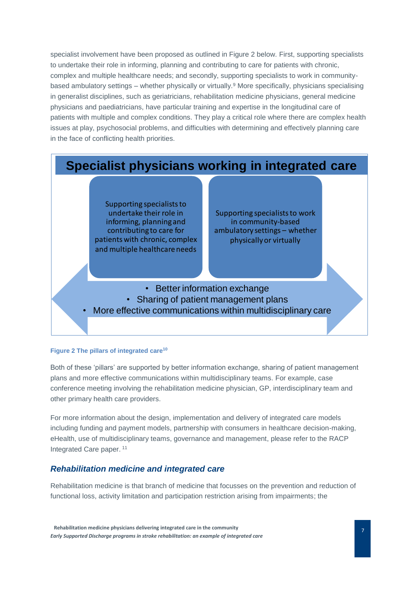specialist involvement have been proposed as outlined in Figure 2 below. First, supporting specialists to undertake their role in informing, planning and contributing to care for patients with chronic, complex and multiple healthcare needs; and secondly, supporting specialists to work in communitybased ambulatory settings – whether physically or virtually.<sup>9</sup> More specifically, physicians specialising in generalist disciplines, such as geriatricians, rehabilitation medicine physicians, general medicine physicians and paediatricians, have particular training and expertise in the longitudinal care of patients with multiple and complex conditions. They play a critical role where there are complex health issues at play, psychosocial problems, and difficulties with determining and effectively planning care in the face of conflicting health priorities.



#### **Figure 2 The pillars of integrated care<sup>10</sup>**

Both of these 'pillars' are supported by better information exchange, sharing of patient management plans and more effective communications within multidisciplinary teams. For example, case conference meeting involving the rehabilitation medicine physician, GP, interdisciplinary team and other primary health care providers.

For more information about the design, implementation and delivery of integrated care models including funding and payment models, partnership with consumers in healthcare decision-making, eHealth, use of multidisciplinary teams, governance and management, please refer to the RACP Integrated Care paper. <sup>11</sup>

# <span id="page-7-0"></span>*Rehabilitation medicine and integrated care*

Rehabilitation medicine is that branch of medicine that focusses on the prevention and reduction of functional loss, activity limitation and participation restriction arising from impairments; the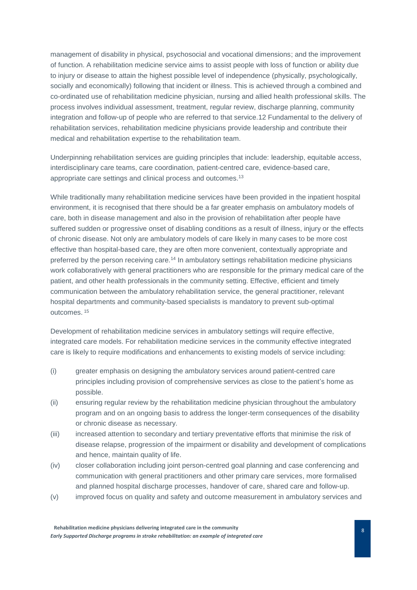management of disability in physical, psychosocial and vocational dimensions; and the improvement of function. A rehabilitation medicine service aims to assist people with loss of function or ability due to injury or disease to attain the highest possible level of independence (physically, psychologically, socially and economically) following that incident or illness. This is achieved through a combined and co-ordinated use of rehabilitation medicine physician, nursing and allied health professional skills. The process involves individual assessment, treatment, regular review, discharge planning, community integration and follow-up of people who are referred to that service.12 Fundamental to the delivery of rehabilitation services, rehabilitation medicine physicians provide leadership and contribute their medical and rehabilitation expertise to the rehabilitation team.

Underpinning rehabilitation services are guiding principles that include: leadership, equitable access, interdisciplinary care teams, care coordination, patient-centred care, evidence-based care, appropriate care settings and clinical process and outcomes. 13

While traditionally many rehabilitation medicine services have been provided in the inpatient hospital environment, it is recognised that there should be a far greater emphasis on ambulatory models of care, both in disease management and also in the provision of rehabilitation after people have suffered sudden or progressive onset of disabling conditions as a result of illness, injury or the effects of chronic disease. Not only are ambulatory models of care likely in many cases to be more cost effective than hospital-based care, they are often more convenient, contextually appropriate and preferred by the person receiving care.<sup>14</sup> In ambulatory settings rehabilitation medicine physicians work collaboratively with general practitioners who are responsible for the primary medical care of the patient, and other health professionals in the community setting. Effective, efficient and timely communication between the ambulatory rehabilitation service, the general practitioner, relevant hospital departments and community-based specialists is mandatory to prevent sub-optimal outcomes. <sup>15</sup>

Development of rehabilitation medicine services in ambulatory settings will require effective, integrated care models. For rehabilitation medicine services in the community effective integrated care is likely to require modifications and enhancements to existing models of service including:

- (i) greater emphasis on designing the ambulatory services around patient-centred care principles including provision of comprehensive services as close to the patient's home as possible.
- (ii) ensuring regular review by the rehabilitation medicine physician throughout the ambulatory program and on an ongoing basis to address the longer-term consequences of the disability or chronic disease as necessary.
- (iii) increased attention to secondary and tertiary preventative efforts that minimise the risk of disease relapse, progression of the impairment or disability and development of complications and hence, maintain quality of life.
- (iv) closer collaboration including joint person-centred goal planning and case conferencing and communication with general practitioners and other primary care services, more formalised and planned hospital discharge processes, handover of care, shared care and follow-up.
- (v) improved focus on quality and safety and outcome measurement in ambulatory services and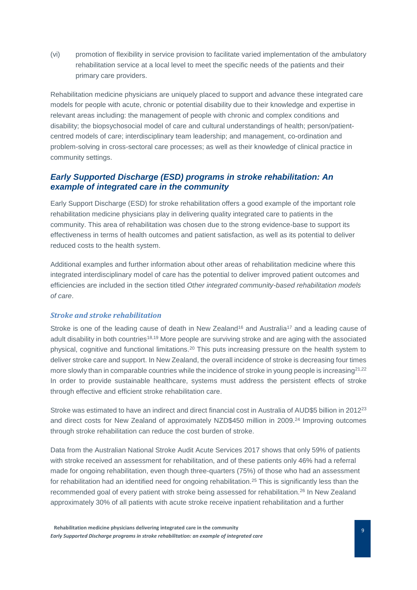(vi) promotion of flexibility in service provision to facilitate varied implementation of the ambulatory rehabilitation service at a local level to meet the specific needs of the patients and their primary care providers.

Rehabilitation medicine physicians are uniquely placed to support and advance these integrated care models for people with acute, chronic or potential disability due to their knowledge and expertise in relevant areas including: the management of people with chronic and complex conditions and disability; the biopsychosocial model of care and cultural understandings of health; person/patientcentred models of care; interdisciplinary team leadership; and management, co-ordination and problem-solving in cross-sectoral care processes; as well as their knowledge of clinical practice in community settings.

# <span id="page-9-0"></span>*Early Supported Discharge (ESD) programs in stroke rehabilitation: An example of integrated care in the community*

Early Support Discharge (ESD) for stroke rehabilitation offers a good example of the important role rehabilitation medicine physicians play in delivering quality integrated care to patients in the community. This area of rehabilitation was chosen due to the strong evidence-base to support its effectiveness in terms of health outcomes and patient satisfaction, as well as its potential to deliver reduced costs to the health system.

Additional examples and further information about other areas of rehabilitation medicine where this integrated interdisciplinary model of care has the potential to deliver improved patient outcomes and efficiencies are included in the section titled *[Other integrated community-based rehabilitation models](#page-14-0)  [of care](#page-14-0)*.

#### <span id="page-9-1"></span>*Stroke and stroke rehabilitation*

Stroke is one of the leading cause of death in New Zealand<sup>16</sup> and Australia<sup>17</sup> and a leading cause of adult disability in both countries<sup>18,19</sup> More people are surviving stroke and are aging with the associated physical, cognitive and functional limitations.<sup>20</sup> This puts increasing pressure on the health system to deliver stroke care and support. In New Zealand, the overall incidence of stroke is decreasing four times more slowly than in comparable countries while the incidence of stroke in young people is increasing $2^{1,22}$ In order to provide sustainable healthcare, systems must address the persistent effects of stroke through effective and efficient stroke rehabilitation care.

Stroke was estimated to have an indirect and direct financial cost in Australia of AUD\$5 billion in 2012<sup>23</sup> and direct costs for New Zealand of approximately NZD\$450 million in 2009. <sup>24</sup> Improving outcomes through stroke rehabilitation can reduce the cost burden of stroke.

Data from the Australian National Stroke Audit Acute Services 2017 shows that only 59% of patients with stroke received an assessment for rehabilitation, and of these patients only 46% had a referral made for ongoing rehabilitation, even though three-quarters (75%) of those who had an assessment for rehabilitation had an identified need for ongoing rehabilitation.<sup>25</sup> This is significantly less than the recommended goal of every patient with stroke being assessed for rehabilitation.<sup>26</sup> In New Zealand approximately 30% of all patients with acute stroke receive inpatient rehabilitation and a further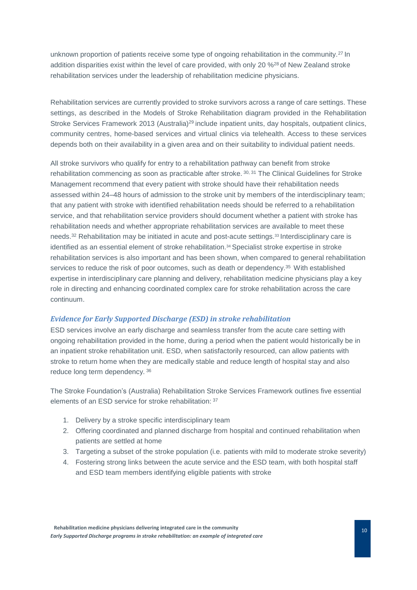unknown proportion of patients receive some type of ongoing rehabilitation in the community.<sup>27</sup> In addition disparities exist within the level of care provided, with only 20 %<sup>28</sup> of New Zealand stroke rehabilitation services under the leadership of rehabilitation medicine physicians.

Rehabilitation services are currently provided to stroke survivors across a range of care settings. These settings, as described in the Models of Stroke Rehabilitation diagram provided in the Rehabilitation Stroke Services Framework 2013 (Australia)<sup>29</sup> include inpatient units, day hospitals, outpatient clinics, community centres, home-based services and virtual clinics via telehealth. Access to these services depends both on their availability in a given area and on their suitability to individual patient needs.

All stroke survivors who qualify for entry to a rehabilitation pathway can benefit from stroke rehabilitation commencing as soon as practicable after stroke. 30, 31 The Clinical Guidelines for Stroke Management recommend that every patient with stroke should have their rehabilitation needs assessed within 24–48 hours of admission to the stroke unit by members of the interdisciplinary team; that any patient with stroke with identified rehabilitation needs should be referred to a rehabilitation service, and that rehabilitation service providers should document whether a patient with stroke has rehabilitation needs and whether appropriate rehabilitation services are available to meet these needs.<sup>32</sup> Rehabilitation may be initiated in acute and post-acute settings.<sup>33</sup> Interdisciplinary care is identified as an essential element of stroke rehabilitation.<sup>34</sup> Specialist stroke expertise in stroke rehabilitation services is also important and has been shown, when compared to general rehabilitation services to reduce the risk of poor outcomes, such as death or dependency.<sup>35</sup> With established expertise in interdisciplinary care planning and delivery, rehabilitation medicine physicians play a key role in directing and enhancing coordinated complex care for stroke rehabilitation across the care continuum.

# *Evidence for Early Supported Discharge (ESD) in stroke rehabilitation*

ESD services involve an early discharge and seamless transfer from the acute care setting with ongoing rehabilitation provided in the home, during a period when the patient would historically be in an inpatient stroke rehabilitation unit. ESD, when satisfactorily resourced, can allow patients with stroke to return home when they are medically stable and reduce length of hospital stay and also reduce long term dependency. <sup>36</sup>

The Stroke Foundation's (Australia) Rehabilitation Stroke Services Framework outlines five essential elements of an ESD service for stroke rehabilitation: <sup>37</sup>

- 1. Delivery by a stroke specific interdisciplinary team
- 2. Offering coordinated and planned discharge from hospital and continued rehabilitation when patients are settled at home
- 3. Targeting a subset of the stroke population (i.e. patients with mild to moderate stroke severity)
- 4. Fostering strong links between the acute service and the ESD team, with both hospital staff and ESD team members identifying eligible patients with stroke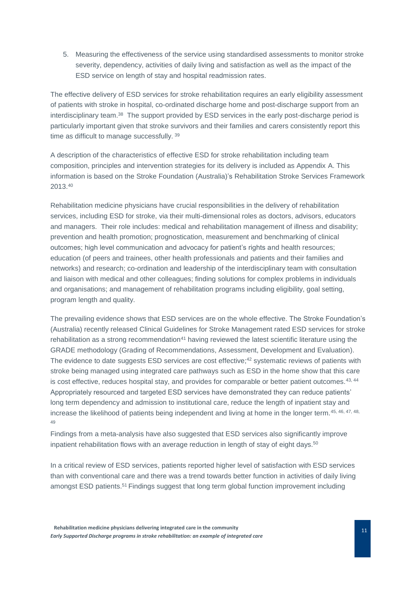5. Measuring the effectiveness of the service using standardised assessments to monitor stroke severity, dependency, activities of daily living and satisfaction as well as the impact of the ESD service on length of stay and hospital readmission rates.

The effective delivery of ESD services for stroke rehabilitation requires an early eligibility assessment of patients with stroke in hospital, co-ordinated discharge home and post-discharge support from an interdisciplinary team.<sup>38</sup> The support provided by ESD services in the early post-discharge period is particularly important given that stroke survivors and their families and carers consistently report this time as difficult to manage successfully. 39

A description of the characteristics of effective ESD for stroke rehabilitation including team composition, principles and intervention strategies for its delivery is included as Appendix A. This information is based on the Stroke Foundation (Australia)'s Rehabilitation Stroke Services Framework 2013. 40

Rehabilitation medicine physicians have crucial responsibilities in the delivery of rehabilitation services, including ESD for stroke, via their multi-dimensional roles as doctors, advisors, educators and managers. Their role includes: medical and rehabilitation management of illness and disability; prevention and health promotion; prognostication, measurement and benchmarking of clinical outcomes; high level communication and advocacy for patient's rights and health resources; education (of peers and trainees, other health professionals and patients and their families and networks) and research; co-ordination and leadership of the interdisciplinary team with consultation and liaison with medical and other colleagues; finding solutions for complex problems in individuals and organisations; and management of rehabilitation programs including eligibility, goal setting, program length and quality.

The prevailing evidence shows that ESD services are on the whole effective. The Stroke Foundation's (Australia) recently released Clinical Guidelines for Stroke Management rated ESD services for stroke rehabilitation as a strong recommendation<sup>41</sup> having reviewed the latest scientific literature using the GRADE methodology (Grading of Recommendations, Assessment, Development and Evaluation). The evidence to date suggests ESD services are cost effective;<sup>42</sup> systematic reviews of patients with stroke being managed using integrated care pathways such as ESD in the home show that this care is cost effective, reduces hospital stay, and provides for comparable or better patient outcomes. $43, 44$ Appropriately resourced and targeted ESD services have demonstrated they can reduce patients' long term dependency and admission to institutional care, reduce the length of inpatient stay and increase the likelihood of patients being independent and living at home in the longer term.<sup>45, 46, 47, 48,</sup> 49

Findings from a meta-analysis have also suggested that ESD services also significantly improve inpatient rehabilitation flows with an average reduction in length of stay of eight days.<sup>50</sup>

In a critical review of ESD services, patients reported higher level of satisfaction with ESD services than with conventional care and there was a trend towards better function in activities of daily living amongst ESD patients.<sup>51</sup> Findings suggest that long term global function improvement including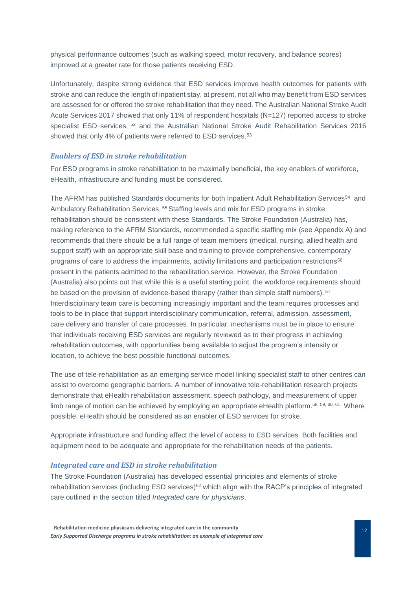physical performance outcomes (such as walking speed, motor recovery, and balance scores) improved at a greater rate for those patients receiving ESD.

Unfortunately, despite strong evidence that ESD services improve health outcomes for patients with stroke and can reduce the length of inpatient stay, at present, not all who may benefit from ESD services are assessed for or offered the stroke rehabilitation that they need. The Australian National Stroke Audit Acute Services 2017 showed that only 11% of respondent hospitals (N=127) reported access to stroke specialist ESD services, <sup>52</sup> and the Australian National Stroke Audit Rehabilitation Services 2016 showed that only 4% of patients were referred to ESD services.<sup>53</sup>

#### <span id="page-12-0"></span>*Enablers of ESD in stroke rehabilitation*

For ESD programs in stroke rehabilitation to be maximally beneficial, the key enablers of workforce, eHealth, infrastructure and funding must be considered.

The AFRM has published Standards documents for both Inpatient Adult Rehabilitation Services<sup>54</sup> and Ambulatory Rehabilitation Services.<sup>55</sup> Staffing levels and mix for ESD programs in stroke rehabilitation should be consistent with these Standards. The Stroke Foundation (Australia) has, making reference to the AFRM Standards, recommended a specific staffing mix (see Appendix A) and recommends that there should be a full range of team members (medical, nursing, allied health and support staff) with an appropriate skill base and training to provide comprehensive, contemporary programs of care to address the impairments, activity limitations and participation restrictions<sup>56</sup> present in the patients admitted to the rehabilitation service. However, the Stroke Foundation (Australia) also points out that while this is a useful starting point, the workforce requirements should be based on the provision of evidence-based therapy (rather than simple staff numbers). <sup>57</sup> Interdisciplinary team care is becoming increasingly important and the team requires processes and tools to be in place that support interdisciplinary communication, referral, admission, assessment, care delivery and transfer of care processes. In particular, mechanisms must be in place to ensure that individuals receiving ESD services are regularly reviewed as to their progress in achieving rehabilitation outcomes, with opportunities being available to adjust the program's intensity or location, to achieve the best possible functional outcomes.

The use of tele-rehabilitation as an emerging service model linking specialist staff to other centres can assist to overcome geographic barriers. A number of innovative tele-rehabilitation research projects demonstrate that eHealth rehabilitation assessment, speech pathology, and measurement of upper limb range of motion can be achieved by employing an appropriate eHealth platform.<sup>58, 59, 60, 61</sup> Where possible, eHealth should be considered as an enabler of ESD services for stroke.

Appropriate infrastructure and funding affect the level of access to ESD services. Both facilities and equipment need to be adequate and appropriate for the rehabilitation needs of the patients.

#### *Integrated care and ESD in stroke rehabilitation*

The Stroke Foundation (Australia) has developed essential principles and elements of stroke rehabilitation services (including ESD services)<sup>62</sup> which align with the RACP's principles of integrated care outlined in the section titled *[Integrated care for physicians](#page-5-1)*.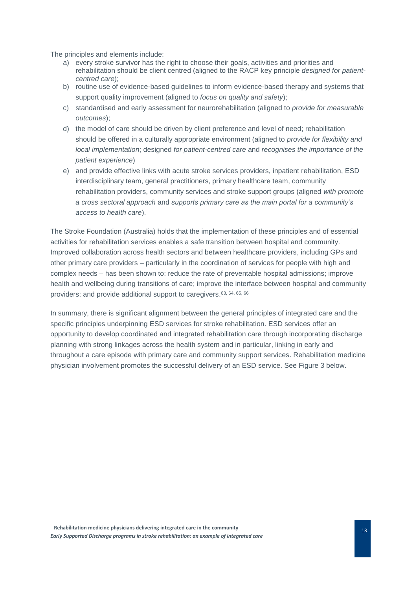The principles and elements include:

- a) every stroke survivor has the right to choose their goals, activities and priorities and rehabilitation should be client centred (aligned to the RACP key principle *designed for patientcentred care*);
- b) routine use of evidence-based guidelines to inform evidence-based therapy and systems that support quality improvement (aligned to *focus on quality and safety*);
- c) standardised and early assessment for neurorehabilitation (aligned to *provide for measurable outcomes*);
- d) the model of care should be driven by client preference and level of need; rehabilitation should be offered in a culturally appropriate environment (aligned to *provide for flexibility and local implementation*; designed *for patient-centred care* and *recognises the importance of the patient experience*)
- e) and provide effective links with acute stroke services providers, inpatient rehabilitation, ESD interdisciplinary team, general practitioners, primary healthcare team, community rehabilitation providers, community services and stroke support groups (aligned *with promote a cross sectoral approach* and *supports primary care as the main portal for a community's access to health care*).

The Stroke Foundation (Australia) holds that the implementation of these principles and of essential activities for rehabilitation services enables a safe transition between hospital and community. Improved collaboration across health sectors and between healthcare providers, including GPs and other primary care providers – particularly in the coordination of services for people with high and complex needs – has been shown to: reduce the rate of preventable hospital admissions; improve health and wellbeing during transitions of care; improve the interface between hospital and community providers; and provide additional support to caregivers. 63, 64, 65, 66

In summary, there is significant alignment between the general principles of integrated care and the specific principles underpinning ESD services for stroke rehabilitation. ESD services offer an opportunity to develop coordinated and integrated rehabilitation care through incorporating discharge planning with strong linkages across the health system and in particular, linking in early and throughout a care episode with primary care and community support services. Rehabilitation medicine physician involvement promotes the successful delivery of an ESD service. See Figure 3 below.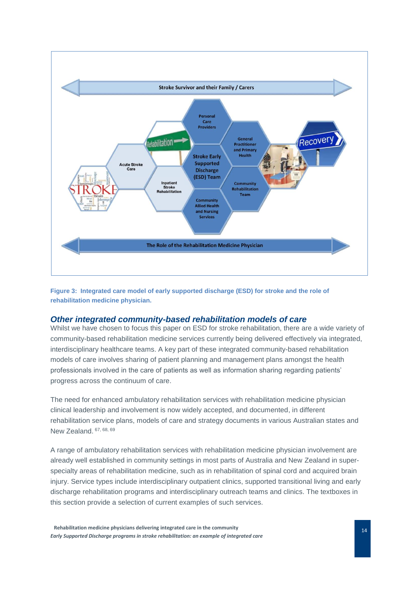

**Figure 3: Integrated care model of early supported discharge (ESD) for stroke and the role of rehabilitation medicine physician.**

## <span id="page-14-0"></span>*Other integrated community-based rehabilitation models of care*

Whilst we have chosen to focus this paper on ESD for stroke rehabilitation, there are a wide variety of community-based rehabilitation medicine services currently being delivered effectively via integrated, interdisciplinary healthcare teams. A key part of these integrated community-based rehabilitation models of care involves sharing of patient planning and management plans amongst the health professionals involved in the care of patients as well as information sharing regarding patients' progress across the continuum of care.

The need for enhanced ambulatory rehabilitation services with rehabilitation medicine physician clinical leadership and involvement is now widely accepted, and documented, in different rehabilitation service plans, models of care and strategy documents in various Australian states and New Zealand. 67, 68, <sup>69</sup>

A range of ambulatory rehabilitation services with rehabilitation medicine physician involvement are already well established in community settings in most parts of Australia and New Zealand in superspecialty areas of rehabilitation medicine, such as in rehabilitation of spinal cord and acquired brain injury. Service types include interdisciplinary outpatient clinics, supported transitional living and early discharge rehabilitation programs and interdisciplinary outreach teams and clinics. The textboxes in this section provide a selection of current examples of such services.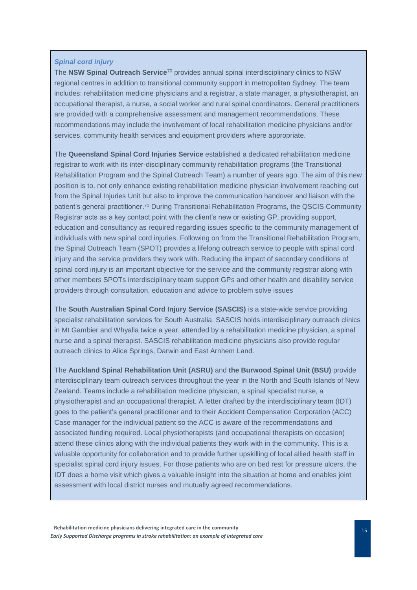#### *Spinal cord injury*

The **NSW Spinal Outreach Service**<sup>70</sup> provides annual spinal interdisciplinary clinics to NSW regional centres in addition to transitional community support in metropolitan Sydney. The team includes: rehabilitation medicine physicians and a registrar, a state manager, a physiotherapist, an occupational therapist, a nurse, a social worker and rural spinal coordinators. General practitioners are provided with a comprehensive assessment and management recommendations. These recommendations may include the involvement of local rehabilitation medicine physicians and/or services, community health services and equipment providers where appropriate.

The **Queensland Spinal Cord Injuries Service** established a dedicated rehabilitation medicine registrar to work with its inter-disciplinary community rehabilitation programs (the Transitional Rehabilitation Program and the Spinal Outreach Team) a number of years ago. The aim of this new position is to, not only enhance existing rehabilitation medicine physician involvement reaching out from the Spinal Injuries Unit but also to improve the communication handover and liaison with the patient's general practitioner. <sup>71</sup> During Transitional Rehabilitation Programs, the QSCIS Community Registrar acts as a key contact point with the client's new or existing GP, providing support, education and consultancy as required regarding issues specific to the community management of individuals with new spinal cord injuries. Following on from the Transitional Rehabilitation Program, the Spinal Outreach Team (SPOT) provides a lifelong outreach service to people with spinal cord injury and the service providers they work with. Reducing the impact of secondary conditions of spinal cord injury is an important objective for the service and the community registrar along with other members SPOTs interdisciplinary team support GPs and other health and disability service providers through consultation, education and advice to problem solve issues

The **South Australian Spinal Cord Injury Service (SASCIS)** is a state-wide service providing specialist rehabilitation services for South Australia. SASCIS holds interdisciplinary outreach clinics in Mt Gambier and Whyalla twice a year, attended by a rehabilitation medicine physician, a spinal nurse and a spinal therapist. SASCIS rehabilitation medicine physicians also provide regular outreach clinics to Alice Springs, Darwin and East Arnhem Land.

The **Auckland Spinal Rehabilitation Unit (ASRU)** and **the Burwood Spinal Unit (BSU)** provide interdisciplinary team outreach services throughout the year in the North and South Islands of New Zealand. Teams include a rehabilitation medicine physician, a spinal specialist nurse, a physiotherapist and an occupational therapist. A letter drafted by the interdisciplinary team (IDT) goes to the patient's general practitioner and to their Accident Compensation Corporation (ACC) Case manager for the individual patient so the ACC is aware of the recommendations and associated funding required. Local physiotherapists (and occupational therapists on occasion) attend these clinics along with the individual patients they work with in the community. This is a valuable opportunity for collaboration and to provide further upskilling of local allied health staff in specialist spinal cord injury issues. For those patients who are on bed rest for pressure ulcers, the IDT does a home visit which gives a valuable insight into the situation at home and enables joint assessment with local district nurses and mutually agreed recommendations.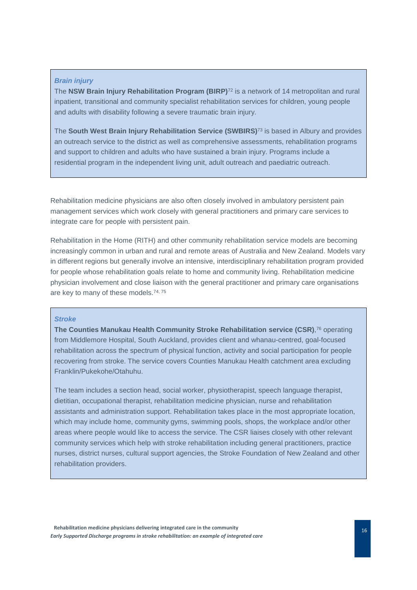#### *Brain injury*

The **NSW Brain Injury Rehabilitation Program (BIRP)**<sup>72</sup> is a network of 14 metropolitan and rural inpatient, transitional and community specialist rehabilitation services for children, young people and adults with disability following a severe traumatic brain injury*.* 

The **South West Brain Injury Rehabilitation Service (SWBIRS)**<sup>73</sup> is based in Albury and provides an outreach service to the district as well as comprehensive assessments, rehabilitation programs and support to children and adults who have sustained a brain injury. Programs include a residential program in the independent living unit, adult outreach and paediatric outreach.

Rehabilitation medicine physicians are also often closely involved in ambulatory persistent pain management services which work closely with general practitioners and primary care services to integrate care for people with persistent pain.

Rehabilitation in the Home (RITH) and other community rehabilitation service models are becoming increasingly common in urban and rural and remote areas of Australia and New Zealand. Models vary in different regions but generally involve an intensive, interdisciplinary rehabilitation program provided for people whose rehabilitation goals relate to home and community living. Rehabilitation medicine physician involvement and close liaison with the general practitioner and primary care organisations are key to many of these models.74, <sup>75</sup>

#### *Stroke*

**The Counties Manukau Health Community Stroke Rehabilitation service (CSR)**, <sup>76</sup> operating from Middlemore Hospital, South Auckland, provides client and whanau-centred, goal-focused rehabilitation across the spectrum of physical function, activity and social participation for people recovering from stroke. The service covers Counties Manukau Health catchment area excluding Franklin/Pukekohe/Otahuhu.

The team includes a section head, social worker, physiotherapist, speech language therapist, dietitian, occupational therapist, rehabilitation medicine physician, nurse and rehabilitation assistants and administration support. Rehabilitation takes place in the most appropriate location, which may include home, community gyms, swimming pools, shops, the workplace and/or other areas where people would like to access the service. The CSR liaises closely with other relevant community services which help with stroke rehabilitation including general practitioners, practice nurses, district nurses, cultural support agencies, the Stroke Foundation of New Zealand and other rehabilitation providers.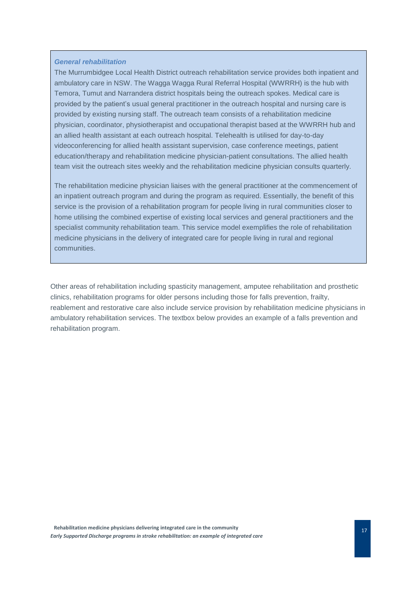#### *General rehabilitation*

The Murrumbidgee Local Health District outreach rehabilitation service provides both inpatient and ambulatory care in NSW. The Wagga Wagga Rural Referral Hospital (WWRRH) is the hub with Temora, Tumut and Narrandera district hospitals being the outreach spokes. Medical care is provided by the patient's usual general practitioner in the outreach hospital and nursing care is provided by existing nursing staff. The outreach team consists of a rehabilitation medicine physician, coordinator, physiotherapist and occupational therapist based at the WWRRH hub and an allied health assistant at each outreach hospital. Telehealth is utilised for day-to-day videoconferencing for allied health assistant supervision, case conference meetings, patient education/therapy and rehabilitation medicine physician-patient consultations. The allied health team visit the outreach sites weekly and the rehabilitation medicine physician consults quarterly.

The rehabilitation medicine physician liaises with the general practitioner at the commencement of an inpatient outreach program and during the program as required. Essentially, the benefit of this service is the provision of a rehabilitation program for people living in rural communities closer to home utilising the combined expertise of existing local services and general practitioners and the specialist community rehabilitation team. This service model exemplifies the role of rehabilitation medicine physicians in the delivery of integrated care for people living in rural and regional communities.

Other areas of rehabilitation including spasticity management, amputee rehabilitation and prosthetic clinics, rehabilitation programs for older persons including those for falls prevention, frailty, reablement and restorative care also include service provision by rehabilitation medicine physicians in ambulatory rehabilitation services. The textbox below provides an example of a falls prevention and rehabilitation program.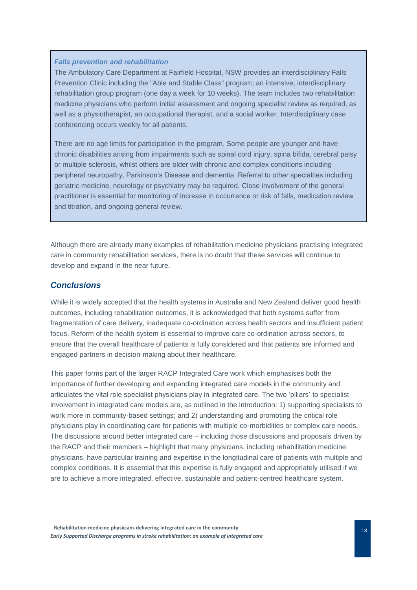#### *Falls prevention and rehabilitation*

The Ambulatory Care Department at Fairfield Hospital, NSW provides an interdisciplinary Falls Prevention Clinic including the "Able and Stable Class" program; an intensive, interdisciplinary rehabilitation group program (one day a week for 10 weeks). The team includes two rehabilitation medicine physicians who perform initial assessment and ongoing specialist review as required, as well as a physiotherapist, an occupational therapist, and a social worker. Interdisciplinary case conferencing occurs weekly for all patients.

There are no age limits for participation in the program. Some people are younger and have chronic disabilities arising from impairments such as spinal cord injury, spina bifida, cerebral palsy or multiple sclerosis, whilst others are older with chronic and complex conditions including peripheral neuropathy, Parkinson's Disease and dementia. Referral to other specialties including geriatric medicine, neurology or psychiatry may be required. Close involvement of the general practitioner is essential for monitoring of increase in occurrence or risk of falls, medication review and titration, and ongoing general review.

Although there are already many examples of rehabilitation medicine physicians practising integrated care in community rehabilitation services, there is no doubt that these services will continue to develop and expand in the near future.

## <span id="page-18-0"></span>*Conclusions*

While it is widely accepted that the health systems in Australia and New Zealand deliver good health outcomes, including rehabilitation outcomes, it is acknowledged that both systems suffer from fragmentation of care delivery, inadequate co-ordination across health sectors and insufficient patient focus. Reform of the health system is essential to improve care co-ordination across sectors, to ensure that the overall healthcare of patients is fully considered and that patients are informed and engaged partners in decision-making about their healthcare.

This paper forms part of the larger RACP Integrated Care work which emphasises both the importance of further developing and expanding integrated care models in the community and articulates the vital role specialist physicians play in integrated care. The two 'pillars' to specialist involvement in integrated care models are, as outlined in the introduction: 1) supporting specialists to work more in community-based settings; and 2) understanding and promoting the critical role physicians play in coordinating care for patients with multiple co-morbidities or complex care needs. The discussions around better integrated care – including those discussions and proposals driven by the RACP and their members – highlight that many physicians, including rehabilitation medicine physicians, have particular training and expertise in the longitudinal care of patients with multiple and complex conditions. It is essential that this expertise is fully engaged and appropriately utilised if we are to achieve a more integrated, effective, sustainable and patient-centred healthcare system.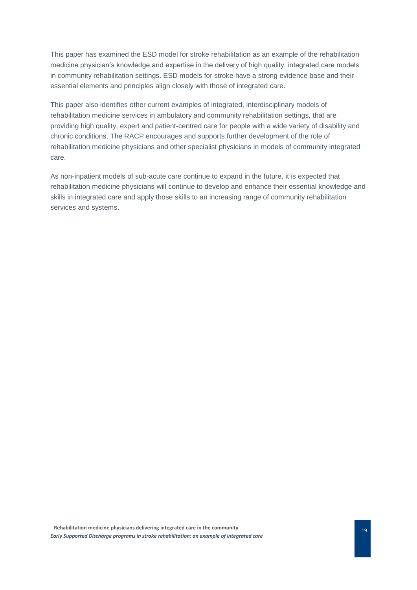This paper has examined the ESD model for stroke rehabilitation as an example of the rehabilitation medicine physician's knowledge and expertise in the delivery of high quality, integrated care models in community rehabilitation settings. ESD models for stroke have a strong evidence base and their essential elements and principles align closely with those of integrated care.

This paper also identifies other current examples of integrated, interdisciplinary models of rehabilitation medicine services in ambulatory and community rehabilitation settings, that are providing high quality, expert and patient-centred care for people with a wide variety of disability and chronic conditions. The RACP encourages and supports further development of the role of rehabilitation medicine physicians and other specialist physicians in models of community integrated care.

As non-inpatient models of sub-acute care continue to expand in the future, it is expected that rehabilitation medicine physicians will continue to develop and enhance their essential knowledge and skills in integrated care and apply those skills to an increasing range of community rehabilitation services and systems.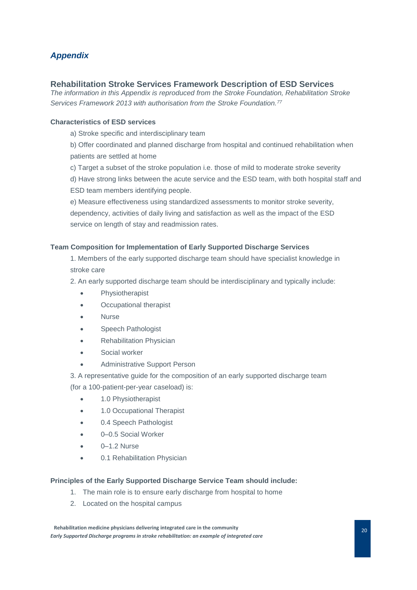# <span id="page-20-0"></span>*Appendix*

# **Rehabilitation Stroke Services Framework Description of ESD Services**

*The information in this Appendix is reproduced from the Stroke Foundation, Rehabilitation Stroke Services Framework 2013 with authorisation from the Stroke Foundation.<sup>77</sup>*

# **Characteristics of ESD services**

a) Stroke specific and interdisciplinary team

b) Offer coordinated and planned discharge from hospital and continued rehabilitation when patients are settled at home

c) Target a subset of the stroke population i.e. those of mild to moderate stroke severity

d) Have strong links between the acute service and the ESD team, with both hospital staff and ESD team members identifying people.

e) Measure effectiveness using standardized assessments to monitor stroke severity, dependency, activities of daily living and satisfaction as well as the impact of the ESD service on length of stay and readmission rates.

# **Team Composition for Implementation of Early Supported Discharge Services**

1. Members of the early supported discharge team should have specialist knowledge in stroke care

2. An early supported discharge team should be interdisciplinary and typically include:

- **Physiotherapist**
- Occupational therapist
- **Nurse**
- Speech Pathologist
- Rehabilitation Physician
- Social worker
- Administrative Support Person
- 3. A representative guide for the composition of an early supported discharge team (for a 100-patient-per-year caseload) is:
	- 1.0 Physiotherapist
	- 1.0 Occupational Therapist
	- 0.4 Speech Pathologist
	- 0–0.5 Social Worker
	- 0-1.2 Nurse
	- 0.1 Rehabilitation Physician

## **Principles of the Early Supported Discharge Service Team should include:**

- 1. The main role is to ensure early discharge from hospital to home
- 2. Located on the hospital campus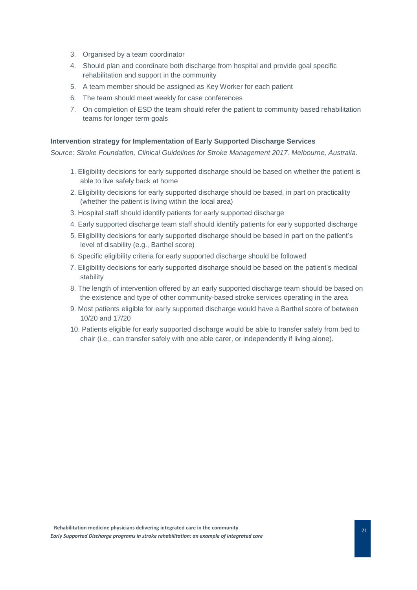- 3. Organised by a team coordinator
- 4. Should plan and coordinate both discharge from hospital and provide goal specific rehabilitation and support in the community
- 5. A team member should be assigned as Key Worker for each patient
- 6. The team should meet weekly for case conferences
- 7. On completion of ESD the team should refer the patient to community based rehabilitation teams for longer term goals

#### **Intervention strategy for Implementation of Early Supported Discharge Services**

*Source: Stroke Foundation, Clinical Guidelines for Stroke Management 2017. Melbourne, Australia.*

- 1. Eligibility decisions for early supported discharge should be based on whether the patient is able to live safely back at home
- 2. Eligibility decisions for early supported discharge should be based, in part on practicality (whether the patient is living within the local area)
- 3. Hospital staff should identify patients for early supported discharge
- 4. Early supported discharge team staff should identify patients for early supported discharge
- 5. Eligibility decisions for early supported discharge should be based in part on the patient's level of disability (e.g., Barthel score)
- 6. Specific eligibility criteria for early supported discharge should be followed
- 7. Eligibility decisions for early supported discharge should be based on the patient's medical stability
- 8. The length of intervention offered by an early supported discharge team should be based on the existence and type of other community-based stroke services operating in the area
- 9. Most patients eligible for early supported discharge would have a Barthel score of between 10/20 and 17/20
- 10. Patients eligible for early supported discharge would be able to transfer safely from bed to chair (i.e., can transfer safely with one able carer, or independently if living alone).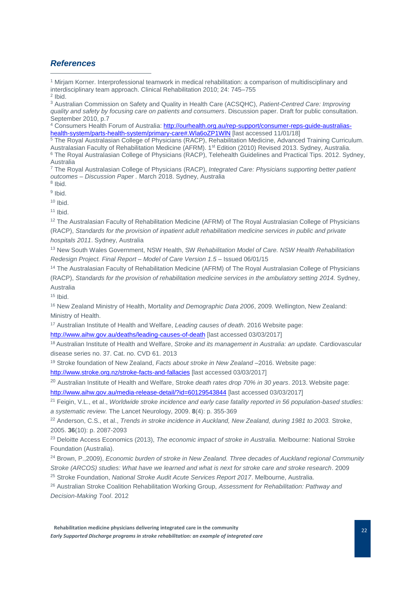# <span id="page-22-0"></span>*References*

 $\overline{a}$ 

<sup>1</sup> Mirjam Korner. Interprofessional teamwork in medical rehabilitation: a comparison of multidisciplinary and interdisciplinary team approach. Clinical Rehabilitation 2010; 24: 745–755  $2$  Ibid.

<sup>3</sup> Australian Commission on Safety and Quality in Health Care (ACSQHC), *Patient-Centred Care: Improving quality and safety by focusing care on patients and consumers*. Discussion paper. Draft for public consultation. September 2010, p.7

<sup>4</sup> Consumers Health Forum of Australia[: http://ourhealth.org.au/rep-support/consumer-reps-guide-australias](http://ourhealth.org.au/rep-support/consumer-reps-guide-australias-health-system/parts-health-system/primary-care#.Wla6oZP1WlN)health-system/parts-health-system/primary-care#.Wla6oZP1WIN [last accessed 11/01/18]

<sup>5</sup> The Royal Australasian College of Physicians (RACP), Rehabilitation Medicine, Advanced Training Curriculum. Australasian Faculty of Rehabilitation Medicine (AFRM). 1st Edition (2010) Revised 2013. Sydney, Australia. <sup>6</sup> The Royal Australasian College of Physicians (RACP), Telehealth Guidelines and Practical Tips. 2012. Sydney, Australia

<sup>7</sup> The Royal Australasian College of Physicians (RACP), *Integrated Care: Physicians supporting better patient outcomes – Discussion Paper .* March 2018. Sydney, Australia

8 Ibid. <sup>9</sup> Ibid.

 $10$  Ibid.

 $11$  Ibid.

<sup>12</sup> The Australasian Faculty of Rehabilitation Medicine (AFRM) of The Royal Australasian College of Physicians (RACP), *Standards for the provision of inpatient adult rehabilitation medicine services in public and private hospitals 2011*. Sydney, Australia

<sup>13</sup> New South Wales Government, NSW Health, SW *Rehabilitation Model of Care. NSW Health Rehabilitation Redesign Project. Final Report – Model of Care Version 1.5* – Issued 06/01/15

<sup>14</sup> The Australasian Faculty of Rehabilitation Medicine (AFRM) of The Royal Australasian College of Physicians (RACP), *Standards for the provision of rehabilitation medicine services in the ambulatory setting 2014.* Sydney, Australia

 $15$  Ibid.

<sup>16</sup> New Zealand Ministry of Health, Mortality *and Demographic Data 2006*, 2009*.* Wellington, New Zealand: Ministry of Health.

<sup>17</sup> Australian Institute of Health and Welfare, *Leading causes of death*. 2016 Website page:

<http://www.aihw.gov.au/deaths/leading-causes-of-death> [last accessed 03/03/2017]

<sup>18</sup> Australian Institute of Health and Welfare, *Stroke and its management in Australia: an update.* Cardiovascular disease series no. 37. Cat. no. CVD 61. 2013

<sup>19</sup> Stroke foundation of New Zealand, *Facts about stroke in New Zealand* –2016. Website page:

<http://www.stroke.org.nz/stroke-facts-and-fallacies> [last accessed 03/03/2017]

<sup>20</sup> Australian Institute of Health and Welfare, Stroke *death rates drop 70% in 30 years*. 2013. Website page: <http://www.aihw.gov.au/media-release-detail/?id=60129543844> [last accessed 03/03/2017]

<sup>21</sup> Feigin, V.L., et al., *Worldwide stroke incidence and early case fatality reported in 56 population-based studies: a systematic review.* The Lancet Neurology, 2009. **8**(4): p. 355-369

<sup>22</sup> Anderson, C.S., et al., *Trends in stroke incidence in Auckland, New Zealand, during 1981 to 2003.* Stroke, 2005. **36**(10): p. 2087-2093

<sup>23</sup> Deloitte Access Economics (2013), *The economic impact of stroke in Australia.* Melbourne: National Stroke Foundation (Australia).

<sup>24</sup> Brown, P.,2009), *Economic burden of stroke in New Zealand. Three decades of Auckland regional Community Stroke (ARCOS) studies: What have we learned and what is next for stroke care and stroke research*. 2009

<sup>25</sup> Stroke Foundation, *National Stroke Audit Acute Services Report 2017*. Melbourne, Australia.

<sup>26</sup> Australian Stroke Coalition Rehabilitation Working Group, *Assessment for Rehabilitation: Pathway and Decision-Making Tool*. 2012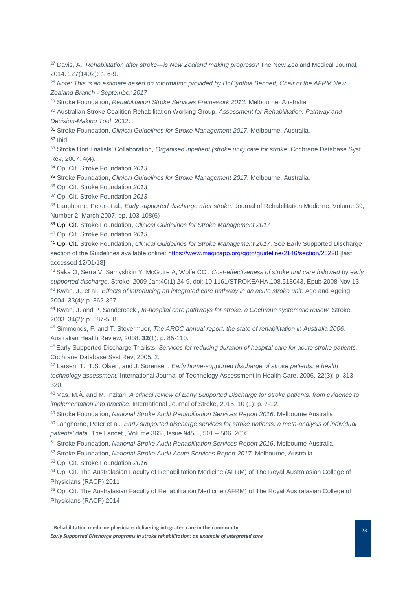<sup>27</sup> Davis, A., *Rehabilitation after stroke—is New Zealand making progress?* The New Zealand Medical Journal, 2014. 127(1402): p. 6-9.

*<sup>28</sup> Note: This is an estimate based on information provided by Dr Cynthia Bennett, Chair of the AFRM New Zealand Branch - September 2017*

<sup>29</sup> Stroke Foundation, *Rehabilitation Stroke Services Framework 2013.* Melbourne, Australia

<sup>30</sup> Australian Stroke Coalition Rehabilitation Working Group, *Assessment for Rehabilitation: Pathway and Decision-Making Tool*. 2012:

<sup>31</sup> Stroke Foundation, *Clinical Guidelines for Stroke Management 2017.* Melbourne, Australia.

<sup>32</sup> Ibid.

-

<sup>33</sup> Stroke Unit Trialists' Collaboration, *Organised inpatient (stroke unit) care for stroke.* Cochrane Database Syst Rev, 2007. 4(4).

<sup>34</sup> Op. Cit. Stroke Foundation *2013*

<sup>35</sup> Stroke Foundation, *Clinical Guidelines for Stroke Management 2017.* Melbourne, Australia.

<sup>36</sup> Op. Cit. Stroke Foundation *2013*

<sup>37</sup> Op. Cit. Stroke Foundation *2013*

<sup>38</sup> Langhorne, Peter et al., *Early supported discharge after stroke.* Journal of Rehabilitation Medicine, Volume 39, Number 2, March 2007, pp. 103-108(6)

<sup>39</sup> Op. Cit. Stroke Foundation, *Clinical Guidelines for Stroke Management 2017*

<sup>40</sup> Op. Cit. Stroke Foundation *2013*

<sup>41</sup> Op. Cit. Stroke Foundation, *Clinical Guidelines for Stroke Management 2017*. See Early Supported Discharge section of the Guidelines available online:<https://www.magicapp.org/goto/guideline/2146/section/25228> [last accessed 12/01/18]

<sup>42</sup> Saka O, Serra V, Samyshkin Y, McGuire A, Wolfe CC , *Cost-effectiveness of stroke unit care followed by early supported discharge*. Stroke. 2009 Jan;40(1):24-9. doi: 10.1161/STROKEAHA.108.518043. Epub 2008 Nov 13. <sup>43</sup> Kwan, J., et al., *Effects of introducing an integrated care pathway in an acute stroke unit*. Age and Ageing, 2004. 33(4): p. 362-367.

<sup>44</sup> Kwan, J. and P. Sandercock , *In-hospital care pathways for stroke: a Cochrane systematic review.* Stroke, 2003. 34(2): p. 587-588.

<sup>45</sup> Simmonds, F. and T. Stevermuer, *The AROC annual report: the state of rehabilitation in Australia 2006.* Australian Health Review, 2008. **32**(1): p. 85-110.

<sup>46</sup> Early Supported Discharge Trialists, *Services for reducing duration of hospital care for acute stroke patients.* Cochrane Database Syst Rev, 2005. 2.

<sup>47</sup> Larsen, T., T.S. Olsen, and J. Sorensen, *Early home-supported discharge of stroke patients: a health technology assessment.* International Journal of Technology Assessment in Health Care, 2006. **22**(3): p. 313- 320.

<sup>48</sup> Mas, M.À. and M. Inzitari, *A critical review of Early Supported Discharge for stroke patients: from evidence to implementation into practice*. International Journal of Stroke, 2015. 10 (1): p. 7-12.

<sup>49</sup> Stroke Foundation, *National Stroke Audit Rehabilitation Services Report 2016*. Melbourne Australia.

<sup>50</sup> Langhorne, Peter et al., *Early supported discharge services for stroke patients: a meta-analysis of individual patients' data.* The Lancet , Volume 365 , Issue 9458 , 501 – 506, 2005.

<sup>51</sup> Stroke Foundation, *National Stroke Audit Rehabilitation Services Report 2016*. Melbourne Australia.

<sup>52</sup> Stroke Foundation, *National Stroke Audit Acute Services Report 2017*. Melbourne, Australia.

<sup>53</sup> Op. Cit. Stroke Foundation *2016*

<sup>54</sup> Op. Cit. The Australasian Faculty of Rehabilitation Medicine (AFRM) of The Royal Australasian College of Physicians (RACP) 2011

<sup>55</sup> Op. Cit. The Australasian Faculty of Rehabilitation Medicine (AFRM) of The Royal Australasian College of Physicians (RACP) 2014